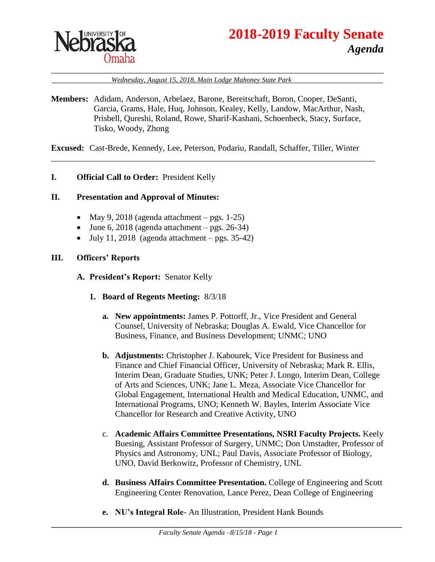

# **2018-2019 Faculty Senate** *Agenda*

\_\_\_\_\_\_\_\_\_\_\_\_\_\_*Wednesday, August 15, 2018, Main Lodge Mahoney State Park* \_\_\_\_\_\_\_\_\_\_\_\_\_\_\_\_\_\_\_\_\_

\_\_\_\_\_\_\_\_\_\_\_\_\_\_\_\_\_\_\_\_\_\_\_\_\_\_\_\_\_\_\_\_\_\_\_\_\_\_\_\_\_\_\_\_\_\_\_\_\_\_\_\_\_\_\_\_\_\_\_\_\_\_\_\_\_\_\_\_\_\_\_\_\_\_\_\_\_\_

**Members:** Adidam, Anderson, Arbelaez, Barone, Bereitschaft, Boron, Cooper, DeSanti, Garcia, Grams, Hale, Huq, Johnson, Kealey, Kelly, Landow, MacArthur, Nash, Prisbell, Qureshi, Roland, Rowe, Sharif-Kashani, Schoenbeck, Stacy, Surface, Tisko, Woody, Zhong

**Excused:** Cast-Brede, Kennedy, Lee, Peterson, Podariu, Randall, Schaffer, Tiller, Winter

\_\_\_\_\_\_\_\_\_\_\_\_\_\_\_\_\_\_\_\_\_\_\_\_\_\_\_\_\_\_\_\_\_\_\_\_\_\_\_\_\_\_\_\_\_\_\_\_\_\_\_\_\_\_\_\_\_\_\_\_\_\_\_\_\_\_\_\_\_\_\_\_\_\_\_\_

#### **I. Official Call to Order:** President Kelly

#### **II. Presentation and Approval of Minutes:**

- May 9, 2018 (agenda attachment pgs. 1-25)
- $\bullet$  June 6, 2018 (agenda attachment pgs. 26-34)
- $\bullet$  July 11, 2018 (agenda attachment pgs. 35-42)

#### **III. Officers' Reports**

- **A. President's Report:** Senator Kelly
	- **1. Board of Regents Meeting:** 8/3/18
		- **a. New appointments:** James P. Pottorff, Jr., Vice President and General Counsel, University of Nebraska; Douglas A. Ewald, Vice Chancellor for Business, Finance, and Business Development; UNMC; UNO
		- **b. Adjustments:** Christopher J. Kabourek, Vice President for Business and Finance and Chief Financial Officer, University of Nebraska; Mark R. Ellis, Interim Dean, Graduate Studies, UNK; Peter J. Longo, Interim Dean, College of Arts and Sciences, UNK; Jane L. Meza, Associate Vice Chancellor for Global Engagement, International Health and Medical Education, UNMC, and International Programs, UNO; Kenneth W. Bayles, Interim Associate Vice Chancellor for Research and Creative Activity, UNO
		- c. **Academic Affairs Committee Presentations, NSRI Faculty Projects.** Keely Buesing, Assistant Professor of Surgery, UNMC; Don Umstadter, Professor of Physics and Astronomy, UNL; Paul Davis, Associate Professor of Biology, UNO, David Berkowitz, Professor of Chemistry, UNL
		- **d. Business Affairs Committee Presentation.** College of Engineering and Scott Engineering Center Renovation, Lance Perez, Dean College of Engineering
		- **e. NU's Integral Role** An Illustration, President Hank Bounds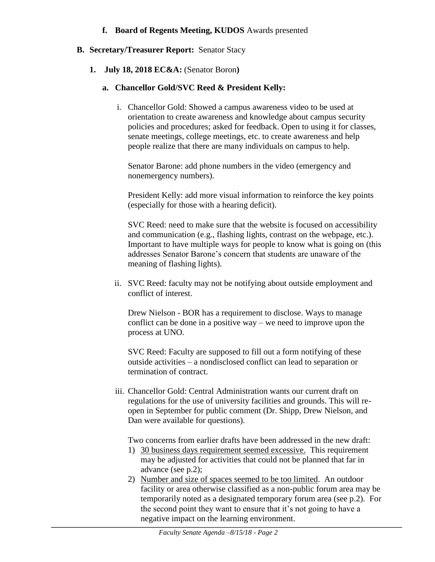#### **f. Board of Regents Meeting, KUDOS** Awards presented

# **B. Secretary/Treasurer Report:** Senator Stacy

# **1. July 18, 2018 EC&A:** (Senator Boron**)**

# **a. Chancellor Gold/SVC Reed & President Kelly:**

i. Chancellor Gold: Showed a campus awareness video to be used at orientation to create awareness and knowledge about campus security policies and procedures; asked for feedback. Open to using it for classes, senate meetings, college meetings, etc. to create awareness and help people realize that there are many individuals on campus to help.

Senator Barone: add phone numbers in the video (emergency and nonemergency numbers).

President Kelly: add more visual information to reinforce the key points (especially for those with a hearing deficit).

SVC Reed: need to make sure that the website is focused on accessibility and communication (e.g., flashing lights, contrast on the webpage, etc.). Important to have multiple ways for people to know what is going on (this addresses Senator Barone's concern that students are unaware of the meaning of flashing lights).

ii. SVC Reed: faculty may not be notifying about outside employment and conflict of interest.

Drew Nielson - BOR has a requirement to disclose. Ways to manage conflict can be done in a positive way – we need to improve upon the process at UNO.

SVC Reed: Faculty are supposed to fill out a form notifying of these outside activities – a nondisclosed conflict can lead to separation or termination of contract.

iii. Chancellor Gold: Central Administration wants our current draft on regulations for the use of university facilities and grounds. This will reopen in September for public comment (Dr. Shipp, Drew Nielson, and Dan were available for questions).

Two concerns from earlier drafts have been addressed in the new draft:

- 1) 30 business days requirement seemed excessive. This requirement may be adjusted for activities that could not be planned that far in advance (see p.2);
- 2) Number and size of spaces seemed to be too limited. An outdoor facility or area otherwise classified as a non-public forum area may be temporarily noted as a designated temporary forum area (see p.2). For the second point they want to ensure that it's not going to have a negative impact on the learning environment.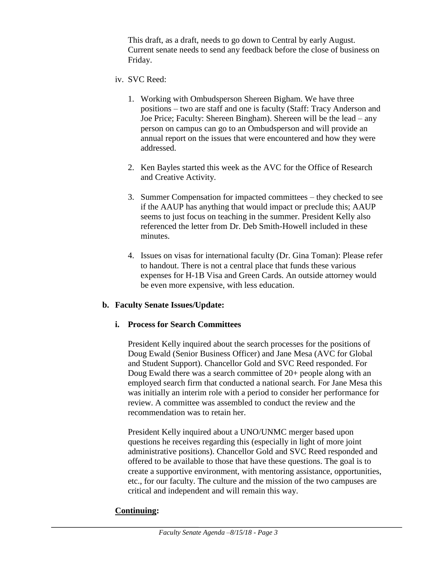This draft, as a draft, needs to go down to Central by early August. Current senate needs to send any feedback before the close of business on Friday.

- iv. SVC Reed:
	- 1. Working with Ombudsperson Shereen Bigham. We have three positions – two are staff and one is faculty (Staff: Tracy Anderson and Joe Price; Faculty: Shereen Bingham). Shereen will be the lead – any person on campus can go to an Ombudsperson and will provide an annual report on the issues that were encountered and how they were addressed.
	- 2. Ken Bayles started this week as the AVC for the Office of Research and Creative Activity.
	- 3. Summer Compensation for impacted committees they checked to see if the AAUP has anything that would impact or preclude this; AAUP seems to just focus on teaching in the summer. President Kelly also referenced the letter from Dr. Deb Smith-Howell included in these minutes.
	- 4. Issues on visas for international faculty (Dr. Gina Toman): Please refer to handout. There is not a central place that funds these various expenses for H-1B Visa and Green Cards. An outside attorney would be even more expensive, with less education.

#### **b. Faculty Senate Issues/Update:**

#### **i. Process for Search Committees**

President Kelly inquired about the search processes for the positions of Doug Ewald (Senior Business Officer) and Jane Mesa (AVC for Global and Student Support). Chancellor Gold and SVC Reed responded. For Doug Ewald there was a search committee of 20+ people along with an employed search firm that conducted a national search. For Jane Mesa this was initially an interim role with a period to consider her performance for review. A committee was assembled to conduct the review and the recommendation was to retain her.

President Kelly inquired about a UNO/UNMC merger based upon questions he receives regarding this (especially in light of more joint administrative positions). Chancellor Gold and SVC Reed responded and offered to be available to those that have these questions. The goal is to create a supportive environment, with mentoring assistance, opportunities, etc., for our faculty. The culture and the mission of the two campuses are critical and independent and will remain this way.

#### **Continuing:**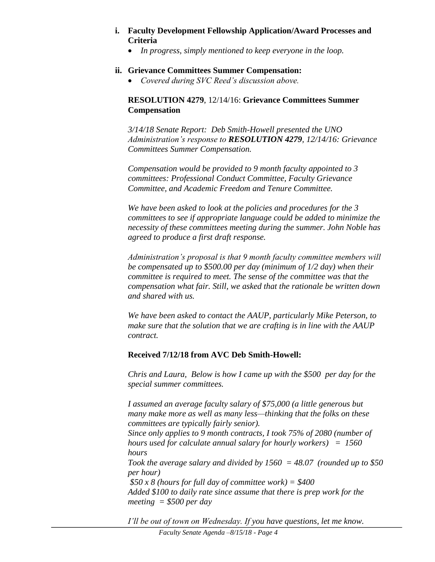#### **i. Faculty Development Fellowship Application/Award Processes and Criteria**

*In progress, simply mentioned to keep everyone in the loop.*

#### **ii. Grievance Committees Summer Compensation:**

*Covered during SVC Reed's discussion above.*

# **RESOLUTION 4279**, 12/14/16: **Grievance Committees Summer Compensation**

*3/14/18 Senate Report: Deb Smith-Howell presented the UNO Administration's response to RESOLUTION 4279, 12/14/16: Grievance Committees Summer Compensation.*

*Compensation would be provided to 9 month faculty appointed to 3 committees: Professional Conduct Committee, Faculty Grievance Committee, and Academic Freedom and Tenure Committee.*

*We have been asked to look at the policies and procedures for the 3 committees to see if appropriate language could be added to minimize the necessity of these committees meeting during the summer. John Noble has agreed to produce a first draft response.*

*Administration's proposal is that 9 month faculty committee members will be compensated up to \$500.00 per day (minimum of 1/2 day) when their committee is required to meet. The sense of the committee was that the compensation what fair. Still, we asked that the rationale be written down and shared with us.*

*We have been asked to contact the AAUP, particularly Mike Peterson, to make sure that the solution that we are crafting is in line with the AAUP contract.*

# **Received 7/12/18 from AVC Deb Smith-Howell:**

*Chris and Laura, Below is how I came up with the \$500 per day for the special summer committees.* 

*I assumed an average faculty salary of \$75,000 (a little generous but many make more as well as many less—thinking that the folks on these committees are typically fairly senior).* 

*Since only applies to 9 month contracts, I took 75% of 2080 (number of hours used for calculate annual salary for hourly workers) = 1560 hours* 

*Took the average salary and divided by 1560 = 48.07 (rounded up to \$50 per hour)* 

*\$50 x 8 (hours for full day of committee work) = \$400 Added \$100 to daily rate since assume that there is prep work for the meeting = \$500 per day*

*I'll be out of town on Wednesday. If you have questions, let me know.*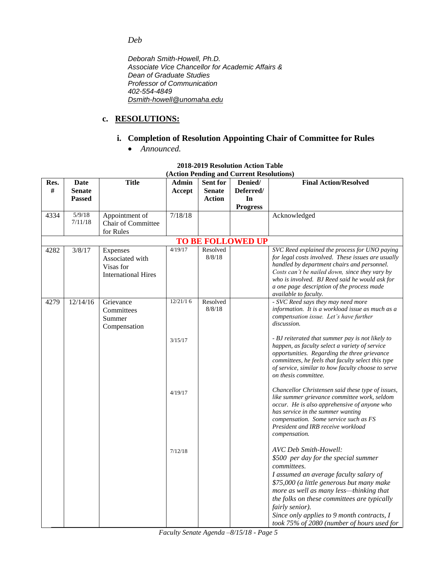*Deb*

*Deborah Smith-Howell, Ph.D. Associate Vice Chancellor for Academic Affairs & Dean of Graduate Studies Professor of Communication 402-554-4849 [Dsmith-howell@unomaha.edu](mailto:Dsmith-howell@unomaha.edu)*

# **c. RESOLUTIONS:**

# **i. Completion of Resolution Appointing Chair of Committee for Rules**

*Announced.*

| Res.                     | <b>Date</b>       | <b>Title</b>               | Admin    | <b>Sent for</b> | $(1.000)$ I chung and Current Kesolutions<br>Denied/ | <b>Final Action/Resolved</b>                                                                      |
|--------------------------|-------------------|----------------------------|----------|-----------------|------------------------------------------------------|---------------------------------------------------------------------------------------------------|
| #                        | <b>Senate</b>     |                            | Accept   | <b>Senate</b>   | Deferred/                                            |                                                                                                   |
|                          | <b>Passed</b>     |                            |          | <b>Action</b>   | In                                                   |                                                                                                   |
|                          |                   |                            |          |                 |                                                      |                                                                                                   |
|                          |                   |                            |          |                 | <b>Progress</b>                                      |                                                                                                   |
| 4334                     | 5/9/18<br>7/11/18 | Appointment of             | 7/18/18  |                 |                                                      | Acknowledged                                                                                      |
|                          |                   | Chair of Committee         |          |                 |                                                      |                                                                                                   |
|                          |                   | for Rules                  |          |                 |                                                      |                                                                                                   |
| <b>TO BE FOLLOWED UP</b> |                   |                            |          |                 |                                                      |                                                                                                   |
| 4282                     | 3/8/17            | Expenses                   | 4/19/17  | Resolved        |                                                      | SVC Reed explained the process for UNO paying                                                     |
|                          |                   | Associated with            |          | 8/8/18          |                                                      | for legal costs involved. These issues are usually                                                |
|                          |                   | Visas for                  |          |                 |                                                      | handled by department chairs and personnel.<br>Costs can't be nailed down, since they vary by     |
|                          |                   | <b>International Hires</b> |          |                 |                                                      | who is involved. BJ Reed said he would ask for                                                    |
|                          |                   |                            |          |                 |                                                      | a one page description of the process made                                                        |
|                          |                   |                            |          |                 |                                                      | available to faculty.                                                                             |
| 4279                     | 12/14/16          | Grievance                  | 12/21/16 | Resolved        |                                                      | - SVC Reed says they may need more                                                                |
|                          |                   | Committees                 |          | 8/8/18          |                                                      | information. It is a workload issue as much as a                                                  |
|                          |                   | Summer                     |          |                 |                                                      | compensation issue. Let's have further                                                            |
|                          |                   | Compensation               |          |                 |                                                      | discussion.                                                                                       |
|                          |                   |                            |          |                 |                                                      | - BJ reiterated that summer pay is not likely to                                                  |
|                          |                   |                            | 3/15/17  |                 |                                                      | happen, as faculty select a variety of service                                                    |
|                          |                   |                            |          |                 |                                                      | opportunities. Regarding the three grievance                                                      |
|                          |                   |                            |          |                 |                                                      | committees, he feels that faculty select this type                                                |
|                          |                   |                            |          |                 |                                                      | of service, similar to how faculty choose to serve                                                |
|                          |                   |                            |          |                 |                                                      | on thesis committee.                                                                              |
|                          |                   |                            |          |                 |                                                      |                                                                                                   |
|                          |                   |                            | 4/19/17  |                 |                                                      | Chancellor Christensen said these type of issues,<br>like summer grievance committee work, seldom |
|                          |                   |                            |          |                 |                                                      | occur. He is also apprehensive of anyone who                                                      |
|                          |                   |                            |          |                 |                                                      | has service in the summer wanting                                                                 |
|                          |                   |                            |          |                 |                                                      | compensation. Some service such as FS                                                             |
|                          |                   |                            |          |                 |                                                      | President and IRB receive workload                                                                |
|                          |                   |                            |          |                 |                                                      | compensation.                                                                                     |
|                          |                   |                            |          |                 |                                                      |                                                                                                   |
|                          |                   |                            | 7/12/18  |                 |                                                      | AVC Deb Smith-Howell:                                                                             |
|                          |                   |                            |          |                 |                                                      | \$500 per day for the special summer                                                              |
|                          |                   |                            |          |                 |                                                      | <i>committees.</i>                                                                                |
|                          |                   |                            |          |                 |                                                      | I assumed an average faculty salary of                                                            |
|                          |                   |                            |          |                 |                                                      | \$75,000 (a little generous but many make                                                         |
|                          |                   |                            |          |                 |                                                      | more as well as many less-thinking that                                                           |
|                          |                   |                            |          |                 |                                                      | the folks on these committees are typically                                                       |
|                          |                   |                            |          |                 |                                                      | fairly senior).                                                                                   |
|                          |                   |                            |          |                 |                                                      | Since only applies to 9 month contracts, I                                                        |
|                          |                   |                            |          |                 |                                                      | took 75% of 2080 (number of hours used for                                                        |

#### **2018-2019 Resolution Action Table (Action Pending and Current Resolutions)**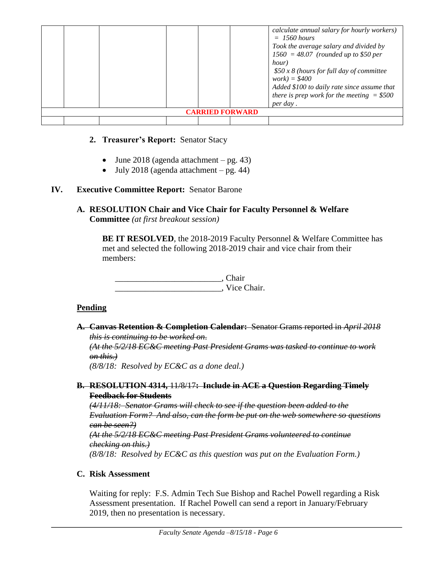|                        |  |  |  |  | calculate annual salary for hourly workers)<br>$= 1560$ hours<br>Took the average salary and divided by<br>$1560 = 48.07$ (rounded up to \$50 per<br>hour)<br>$$50 x 8$ (hours for full day of committee<br>$work) = $400$<br>Added \$100 to daily rate since assume that<br>there is prep work for the meeting $= $500$<br>per day. |
|------------------------|--|--|--|--|--------------------------------------------------------------------------------------------------------------------------------------------------------------------------------------------------------------------------------------------------------------------------------------------------------------------------------------|
| <b>CARRIED FORWARD</b> |  |  |  |  |                                                                                                                                                                                                                                                                                                                                      |
|                        |  |  |  |  |                                                                                                                                                                                                                                                                                                                                      |

## **2. Treasurer's Report:** Senator Stacy

- $\bullet$  June 2018 (agenda attachment pg. 43)
- $\bullet$  July 2018 (agenda attachment pg. 44)

## **IV. Executive Committee Report:** Senator Barone

**A. RESOLUTION Chair and Vice Chair for Faculty Personnel & Welfare Committee** *(at first breakout session)*

**BE IT RESOLVED**, the 2018-2019 Faculty Personnel & Welfare Committee has met and selected the following 2018-2019 chair and vice chair from their members:

\_\_\_\_\_\_\_\_\_\_\_\_\_\_\_\_\_\_\_\_\_\_\_\_\_, Chair \_\_\_\_\_\_\_\_\_\_\_\_\_\_\_\_\_\_\_\_\_\_\_\_\_, Vice Chair.

# **Pending**

**A. Canvas Retention & Completion Calendar:** Senator Grams reported in *April 2018 this is continuing to be worked on*. *(At the 5/2/18 EC&C meeting Past President Grams was tasked to continue to work on this.) (8/8/18: Resolved by EC&C as a done deal.)* **B. RESOLUTION 4314,** 11/8/17**: Include in ACE a Question Regarding Timely Feedback for Students**

*(4/11/18: Senator Grams will check to see if the question been added to the Evaluation Form? And also, can the form be put on the web somewhere so questions can be seen?) (At the 5/2/18 EC&C meeting Past President Grams volunteered to continue checking on this.) (8/8/18: Resolved by EC&C as this question was put on the Evaluation Form.)*

#### **C. Risk Assessment**

Waiting for reply: F.S. Admin Tech Sue Bishop and Rachel Powell regarding a Risk Assessment presentation. If Rachel Powell can send a report in January/February 2019, then no presentation is necessary.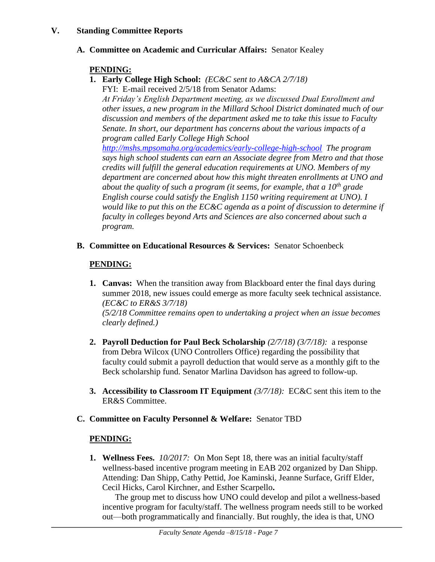#### **V. Standing Committee Reports**

# **A. Committee on Academic and Curricular Affairs:** Senator Kealey

### **PENDING:**

**1. Early College High School:** *(EC&C sent to A&CA 2/7/18)*

FYI: E-mail received 2/5/18 from Senator Adams: *At Friday's English Department meeting, as we discussed Dual Enrollment and other issues, a new program in the Millard School District dominated much of our discussion and members of the department asked me to take this issue to Faculty Senate. In short, our department has concerns about the various impacts of a program called Early College High School* 

*<http://mshs.mpsomaha.org/academics/early-college-high-school> The program says high school students can earn an Associate degree from Metro and that those credits will fulfill the general education requirements at UNO. Members of my department are concerned about how this might threaten enrollments at UNO and about the quality of such a program (it seems, for example, that a 10th grade English course could satisfy the English 1150 writing requirement at UNO). I would like to put this on the EC&C agenda as a point of discussion to determine if faculty in colleges beyond Arts and Sciences are also concerned about such a program.*

**B. Committee on Educational Resources & Services:** Senator Schoenbeck

# **PENDING:**

- **1. Canvas:** When the transition away from Blackboard enter the final days during summer 2018, new issues could emerge as more faculty seek technical assistance. *(EC&C to ER&S 3/7/18) (5/2/18 Committee remains open to undertaking a project when an issue becomes clearly defined.)*
- **2. Payroll Deduction for Paul Beck Scholarship** *(2/7/18) (3/7/18):* a response from Debra Wilcox (UNO Controllers Office) regarding the possibility that faculty could submit a payroll deduction that would serve as a monthly gift to the Beck scholarship fund. Senator Marlina Davidson has agreed to follow-up.
- **3. Accessibility to Classroom IT Equipment** *(3/7/18):* EC&C sent this item to the ER&S Committee.

#### **C. Committee on Faculty Personnel & Welfare:** Senator TBD

#### **PENDING:**

**1. Wellness Fees.** *10/2017:*On Mon Sept 18, there was an initial faculty/staff wellness-based incentive program meeting in EAB 202 organized by Dan Shipp. Attending: Dan Shipp, Cathy Pettid, Joe Kaminski, Jeanne Surface, Griff Elder, Cecil Hicks, Carol Kirchner, and Esther Scarpello**.**

The group met to discuss how UNO could develop and pilot a wellness-based incentive program for faculty/staff. The wellness program needs still to be worked out—both programmatically and financially. But roughly, the idea is that, UNO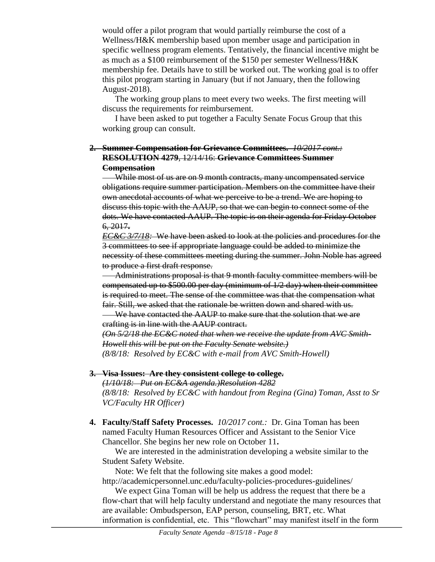would offer a pilot program that would partially reimburse the cost of a Wellness/H&K membership based upon member usage and participation in specific wellness program elements. Tentatively, the financial incentive might be as much as a \$100 reimbursement of the \$150 per semester Wellness/H&K membership fee. Details have to still be worked out. The working goal is to offer this pilot program starting in January (but if not January, then the following August-2018).

The working group plans to meet every two weeks. The first meeting will discuss the requirements for reimbursement.

I have been asked to put together a Faculty Senate Focus Group that this working group can consult.

### **2. Summer Compensation for Grievance Committees.** *10/2017 cont.:* **RESOLUTION 4279**, 12/14/16: **Grievance Committees Summer Compensation**

While most of us are on 9 month contracts, many uncompensated service obligations require summer participation. Members on the committee have their own anecdotal accounts of what we perceive to be a trend. We are hoping to discuss this topic with the AAUP, so that we can begin to connect some of the dots. We have contacted AAUP. The topic is on their agenda for Friday October 6, 2017**.**

*EC&C 3/7/18:* We have been asked to look at the policies and procedures for the 3 committees to see if appropriate language could be added to minimize the necessity of these committees meeting during the summer. John Noble has agreed to produce a first draft response.

Administrations proposal is that 9 month faculty committee members will be compensated up to \$500.00 per day (minimum of 1/2 day) when their committee is required to meet. The sense of the committee was that the compensation what fair. Still, we asked that the rationale be written down and shared with us.

We have contacted the AAUP to make sure that the solution that we are crafting is in line with the AAUP contract.

*(On 5/2/18 the EC&C noted that when we receive the update from AVC Smith-Howell this will be put on the Faculty Senate website.) (8/8/18: Resolved by EC&C with e-mail from AVC Smith-Howell)*

#### **3. Visa Issues: Are they consistent college to college.**

*(1/10/18: Put on EC&A agenda.)Resolution 4282 (8/8/18: Resolved by EC&C with handout from Regina (Gina) Toman, Asst to Sr VC/Faculty HR Officer)*

**4. Faculty/Staff Safety Processes.** *10/2017 cont.:* Dr. Gina Toman has been named Faculty Human Resources Officer and Assistant to the Senior Vice Chancellor. She begins her new role on October 11**.**

We are interested in the administration developing a website similar to the Student Safety Website.

Note: We felt that the following site makes a good model: http://academicpersonnel.unc.edu/faculty-policies-procedures-guidelines/

We expect Gina Toman will be help us address the request that there be a flow-chart that will help faculty understand and negotiate the many resources that are available: Ombudsperson, EAP person, counseling, BRT, etc. What information is confidential, etc. This "flowchart" may manifest itself in the form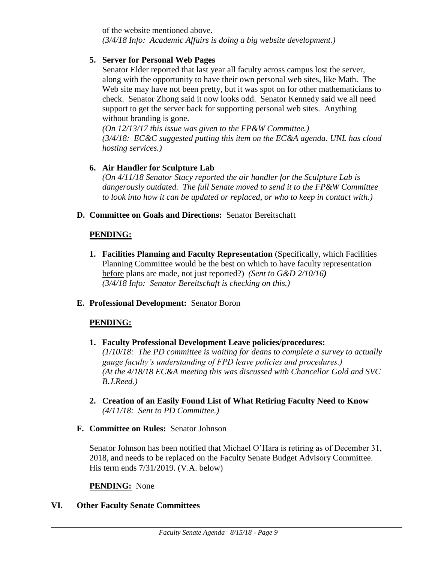of the website mentioned above. *(3/4/18 Info: Academic Affairs is doing a big website development.)*

#### **5. Server for Personal Web Pages**

Senator Elder reported that last year all faculty across campus lost the server, along with the opportunity to have their own personal web sites, like Math. The Web site may have not been pretty, but it was spot on for other mathematicians to check. Senator Zhong said it now looks odd. Senator Kennedy said we all need support to get the server back for supporting personal web sites. Anything without branding is gone.

*(On 12/13/17 this issue was given to the FP&W Committee.) (3/4/18: EC&C suggested putting this item on the EC&A agenda. UNL has cloud hosting services.)*

# **6. Air Handler for Sculpture Lab**

*(On 4/11/18 Senator Stacy reported the air handler for the Sculpture Lab is dangerously outdated. The full Senate moved to send it to the FP&W Committee to look into how it can be updated or replaced, or who to keep in contact with.)*

#### **D. Committee on Goals and Directions:** Senator Bereitschaft

#### **PENDING:**

**1. Facilities Planning and Faculty Representation** (Specifically, which Facilities Planning Committee would be the best on which to have faculty representation before plans are made, not just reported?) *(Sent to G&D 2/10/16) (3/4/18 Info: Senator Bereitschaft is checking on this.)* 

#### **E. Professional Development:** Senator Boron

# **PENDING:**

- **1. Faculty Professional Development Leave policies/procedures:**  *(1/10/18: The PD committee is waiting for deans to complete a survey to actually gauge faculty's understanding of FPD leave policies and procedures.) (At the 4/18/18 EC&A meeting this was discussed with Chancellor Gold and SVC B.J.Reed.)*
- **2. Creation of an Easily Found List of What Retiring Faculty Need to Know** *(4/11/18: Sent to PD Committee.)*
- **F. Committee on Rules:** Senator Johnson

Senator Johnson has been notified that Michael O'Hara is retiring as of December 31, 2018, and needs to be replaced on the Faculty Senate Budget Advisory Committee. His term ends 7/31/2019. (V.A. below)

#### **PENDING:** None

# **VI. Other Faculty Senate Committees**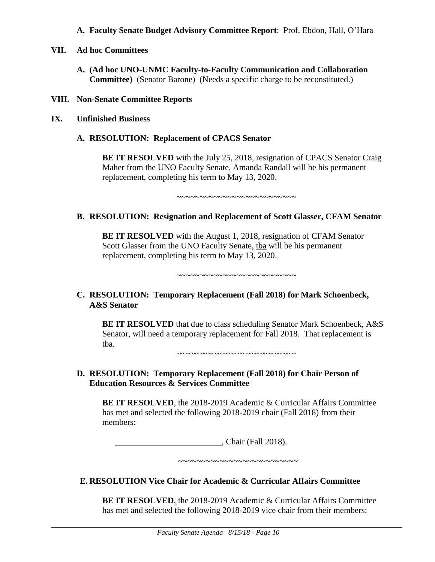#### **A. Faculty Senate Budget Advisory Committee Report**: Prof. Ebdon, Hall, O'Hara

- **VII. Ad hoc Committees**
	- **A. (Ad hoc UNO-UNMC Faculty-to-Faculty Communication and Collaboration Committee)** (Senator Barone) (Needs a specific charge to be reconstituted.)
- **VIII. Non-Senate Committee Reports**
- **IX. Unfinished Business**
	- **A. RESOLUTION: Replacement of CPACS Senator**

**BE IT RESOLVED** with the July 25, 2018, resignation of CPACS Senator Craig Maher from the UNO Faculty Senate, Amanda Randall will be his permanent replacement, completing his term to May 13, 2020.

~~~~~~~~~~~~~~~~~~~~~~~~~~

#### **B. RESOLUTION: Resignation and Replacement of Scott Glasser, CFAM Senator**

**BE IT RESOLVED** with the August 1, 2018, resignation of CFAM Senator Scott Glasser from the UNO Faculty Senate, tba will be his permanent replacement, completing his term to May 13, 2020.

~~~~~~~~~~~~~~~~~~~~~~~~~~

#### **C. RESOLUTION: Temporary Replacement (Fall 2018) for Mark Schoenbeck, A&S Senator**

**BE IT RESOLVED** that due to class scheduling Senator Mark Schoenbeck, A&S Senator, will need a temporary replacement for Fall 2018. That replacement is tba.

~~~~~~~~~~~~~~~~~~~~~~~~~~

**D. RESOLUTION: Temporary Replacement (Fall 2018) for Chair Person of Education Resources & Services Committee**

**BE IT RESOLVED**, the 2018-2019 Academic & Curricular Affairs Committee has met and selected the following 2018-2019 chair (Fall 2018) from their members:

\_\_\_\_\_\_\_\_\_\_\_\_\_\_\_\_\_\_\_\_\_\_\_\_\_, Chair (Fall 2018).

~~~~~~~~~~~~~~~~~~~~~~~~~~

#### **E. RESOLUTION Vice Chair for Academic & Curricular Affairs Committee**

**BE IT RESOLVED**, the 2018-2019 Academic & Curricular Affairs Committee has met and selected the following 2018-2019 vice chair from their members: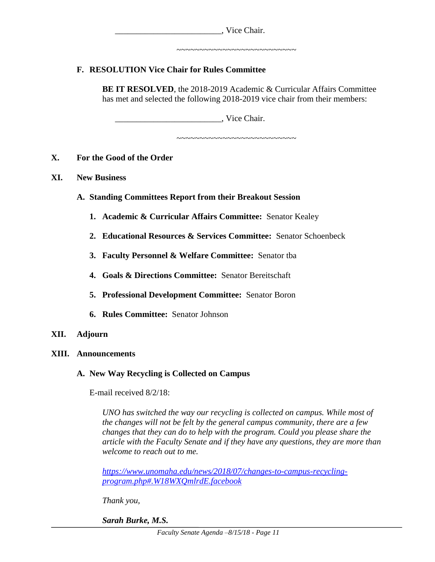|     | , Vice Chair.                                                                                                                                                   |
|-----|-----------------------------------------------------------------------------------------------------------------------------------------------------------------|
|     | .~~~~~~~~~~~~~~~~~~~~~~~                                                                                                                                        |
|     | <b>F. RESOLUTION Vice Chair for Rules Committee</b>                                                                                                             |
|     | <b>BE IT RESOLVED, the 2018-2019 Academic &amp; Curricular Affairs Committee</b><br>has met and selected the following 2018-2019 vice chair from their members: |
|     | , Vice Chair.                                                                                                                                                   |
|     | . ~~~~~~~~~~~~~~~~~~~~~~~~                                                                                                                                      |
| X.  | For the Good of the Order                                                                                                                                       |
| XI. | <b>New Business</b>                                                                                                                                             |
|     | A. Standing Committees Report from their Breakout Session                                                                                                       |
|     | <b>1. Academic &amp; Curricular Affairs Committee: Senator Kealey</b>                                                                                           |

- **2. Educational Resources & Services Committee:** Senator Schoenbeck
- **3. Faculty Personnel & Welfare Committee:** Senator tba
- **4. Goals & Directions Committee:** Senator Bereitschaft
- **5. Professional Development Committee:** Senator Boron
- **6. Rules Committee:** Senator Johnson
- **XII. Adjourn**

# **XIII. Announcements**

# **A. New Way Recycling is Collected on Campus**

E-mail received 8/2/18:

*UNO has switched the way our recycling is collected on campus. While most of the changes will not be felt by the general campus community, there are a few changes that they can do to help with the program. Could you please share the article with the Faculty Senate and if they have any questions, they are more than welcome to reach out to me.*

*[https://www.unomaha.edu/news/2018/07/changes-to-campus-recycling](https://www.unomaha.edu/news/2018/07/changes-to-campus-recycling-program.php#.W18WXQmlrdE.facebook)[program.php#.W18WXQmlrdE.facebook](https://www.unomaha.edu/news/2018/07/changes-to-campus-recycling-program.php#.W18WXQmlrdE.facebook)*

*Thank you,*

*Sarah Burke, M.S.*